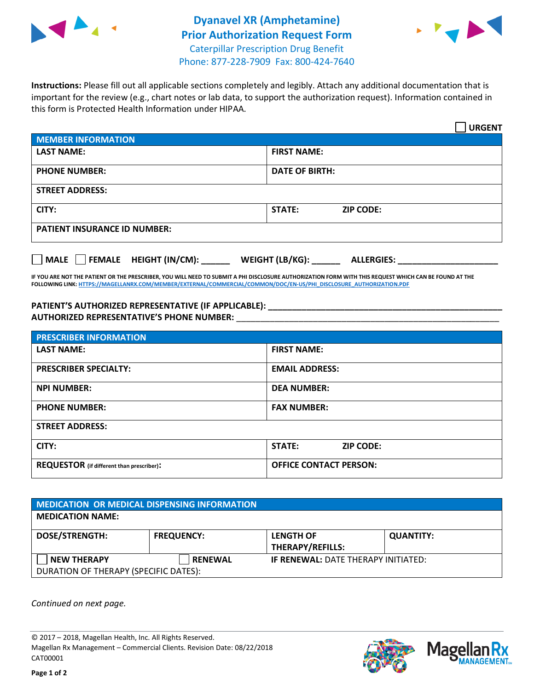



**Instructions:** Please fill out all applicable sections completely and legibly. Attach any additional documentation that is important for the review (e.g., chart notes or lab data, to support the authorization request). Information contained in this form is Protected Health Information under HIPAA.

|                                       | <b>URGENT</b>                        |  |  |  |
|---------------------------------------|--------------------------------------|--|--|--|
| <b>MEMBER INFORMATION</b>             |                                      |  |  |  |
| <b>LAST NAME:</b>                     | <b>FIRST NAME:</b>                   |  |  |  |
| <b>PHONE NUMBER:</b>                  | <b>DATE OF BIRTH:</b>                |  |  |  |
| <b>STREET ADDRESS:</b>                |                                      |  |  |  |
| CITY:                                 | STATE:<br><b>ZIP CODE:</b>           |  |  |  |
| <b>PATIENT INSURANCE ID NUMBER:</b>   |                                      |  |  |  |
| FEMALE HEIGHT (IN/CM):<br><b>MALE</b> | WEIGHT (LB/KG):<br><b>ALLERGIES:</b> |  |  |  |

**IF YOU ARE NOT THE PATIENT OR THE PRESCRIBER, YOU WILL NEED TO SUBMIT A PHI DISCLOSURE AUTHORIZATION FORM WITH THIS REQUEST WHICH CAN BE FOUND AT THE FOLLOWING LINK[: HTTPS://MAGELLANRX.COM/MEMBER/EXTERNAL/COMMERCIAL/COMMON/DOC/EN-US/PHI\\_DISCLOSURE\\_AUTHORIZATION.PDF](https://magellanrx.com/member/external/commercial/common/doc/en-us/PHI_Disclosure_Authorization.pdf)**

**PATIENT'S AUTHORIZED REPRESENTATIVE (IF APPLICABLE): \_\_\_\_\_\_\_\_\_\_\_\_\_\_\_\_\_\_\_\_\_\_\_\_\_\_\_\_\_\_\_\_\_\_\_\_\_\_\_\_\_\_\_\_\_\_\_\_\_ AUTHORIZED REPRESENTATIVE'S PHONE NUMBER:** \_\_\_\_\_\_\_\_\_\_\_\_\_\_\_\_\_\_\_\_\_\_\_\_\_\_\_\_\_\_\_\_\_\_\_\_\_\_\_\_\_\_\_\_\_\_\_\_\_\_\_\_\_\_\_

| <b>PRESCRIBER INFORMATION</b>             |                               |  |  |  |
|-------------------------------------------|-------------------------------|--|--|--|
| <b>LAST NAME:</b>                         | <b>FIRST NAME:</b>            |  |  |  |
| <b>PRESCRIBER SPECIALTY:</b>              | <b>EMAIL ADDRESS:</b>         |  |  |  |
| <b>NPI NUMBER:</b>                        | <b>DEA NUMBER:</b>            |  |  |  |
| <b>PHONE NUMBER:</b>                      | <b>FAX NUMBER:</b>            |  |  |  |
| <b>STREET ADDRESS:</b>                    |                               |  |  |  |
| CITY:                                     | STATE:<br><b>ZIP CODE:</b>    |  |  |  |
| REQUESTOR (if different than prescriber): | <b>OFFICE CONTACT PERSON:</b> |  |  |  |

| <b>MEDICATION OR MEDICAL DISPENSING INFORMATION</b> |                   |                                            |                  |  |  |
|-----------------------------------------------------|-------------------|--------------------------------------------|------------------|--|--|
| <b>MEDICATION NAME:</b>                             |                   |                                            |                  |  |  |
| <b>DOSE/STRENGTH:</b>                               | <b>FREQUENCY:</b> | <b>LENGTH OF</b>                           | <b>QUANTITY:</b> |  |  |
|                                                     |                   | <b>THERAPY/REFILLS:</b>                    |                  |  |  |
| <b>NEW THERAPY</b>                                  | <b>RENEWAL</b>    | <b>IF RENEWAL: DATE THERAPY INITIATED:</b> |                  |  |  |
| DURATION OF THERAPY (SPECIFIC DATES):               |                   |                                            |                  |  |  |

*Continued on next page.*

© 2017 – 2018, Magellan Health, Inc. All Rights Reserved. Magellan Rx Management – Commercial Clients. Revision Date: 08/22/2018 CAT00001